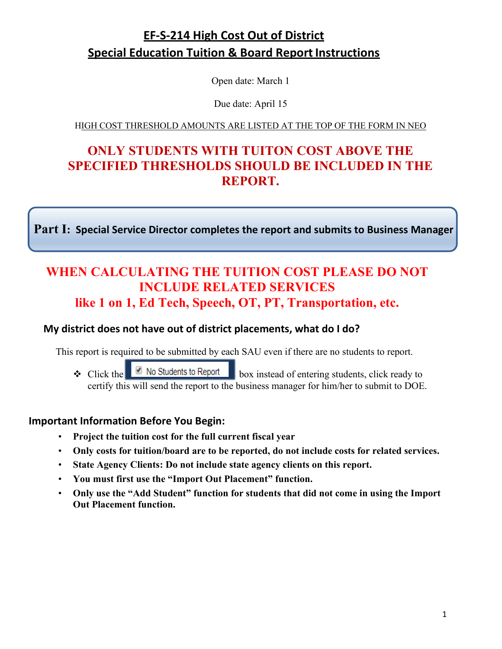## **EF-S-214 High Cost Out of District Special Education Tuition & Board Report Instructions**

Open date: March 1

Due date: April 15

HIGH COST THRESHOLD AMOUNTS ARE LISTED AT THE TOP OF THE FORM IN NEO

## **ONLY STUDENTS WITH TUITON COST ABOVE THE SPECIFIED THRESHOLDS SHOULD BE INCLUDED IN THE REPORT.**

**Part I: Special Service Director completes the report and submits to Business Manager**

## **WHEN CALCULATING THE TUITION COST PLEASE DO NOT INCLUDE RELATED SERVICES like 1 on 1, Ed Tech, Speech, OT, PT, Transportation, etc.**

### **My district does not have out of district placements, what do I do?**

This report is required to be submitted by each SAU even if there are no students to report.

 $\triangle$  Click the  $\Box$  No Students to Report box instead of entering students, click ready to certify this will send the report to the business manager for him/her to submit to DOE.

### **Important Information Before You Begin:**

- **Project the tuition cost for the full current fiscal year**
- **Only costs for tuition/board are to be reported, do not include costs for related services.**
- **State Agency Clients: Do not include state agency clients on this report.**
- **You must first use the "Import Out Placement" function.**
- **Only use the "Add Student" function for students that did not come in using the Import Out Placement function.**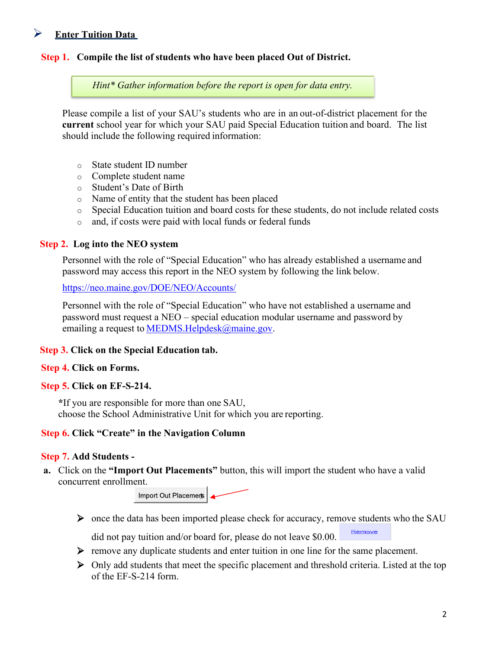### **Enter Tuition Data**

#### **Step 1. Compile the list of students who have been placed Out of District.**

*Hint\* Gather information before the report is open for data entry.*

Please compile a list of your SAU's students who are in an out-of-district placement for the **current** school year for which your SAU paid Special Education tuition and board. The list should include the following required information:

- o State student ID number
- o Complete student name
- o Student's Date of Birth
- o Name of entity that the student has been placed
- o Special Education tuition and board costs for these students, do not include related costs
- o and, if costs were paid with local funds or federal funds

#### **Step 2. Log into the NEO system**

Personnel with the role of "Special Education" who has already established a username and password may access this report in the NEO system by following the link below.

<https://neo.maine.gov/DOE/NEO/Accounts/>

Personnel with the role of "Special Education" who have not established a username and password must request a NEO – special education modular username and password by emailing a request to [MEDMS.Helpdesk@maine.gov.](mailto:MEDMS.Helpdesk@maine.gov)

#### **Step 3. Click on the Special Education tab.**

#### **Step 4. Click on Forms.**

#### **Step 5. Click on EF-S-214.**

**\***If you are responsible for more than one SAU, choose the School Administrative Unit for which you are reporting.

#### **Step 6. Click "Create" in the Navigation Column**

#### **Step 7. Add Students -**

**a.** Click on the **"Import Out Placements"** button, this will import the student who have a valid concurrent enrollment.

Import Out Placemers

 $\triangleright$  once the data has been imported please check for accuracy, remove students who the SAU Remove

did not pay tuition and/or board for, please do not leave \$0.00.

- $\triangleright$  remove any duplicate students and enter tuition in one line for the same placement.
- $\triangleright$  Only add students that meet the specific placement and threshold criteria. Listed at the top of the EF-S-214 form.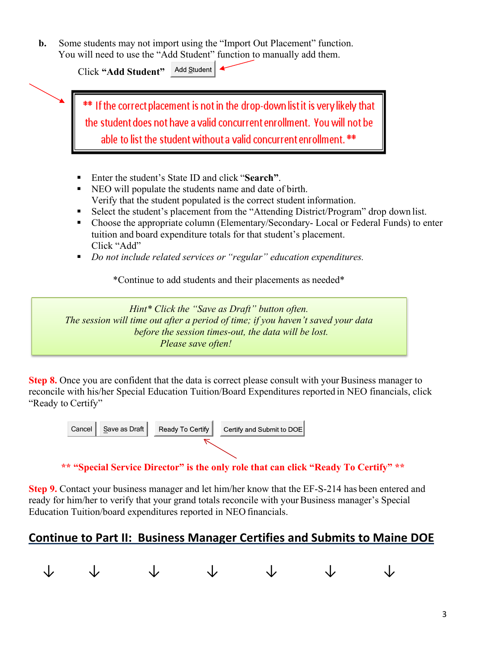| Some students may not import using the "Import Out Placement" function. |
|-------------------------------------------------------------------------|
| You will need to use the "Add Student" function to manually add them.   |

Add Student Click **"Add Student"** 

\*\* If the correct placement is not in the drop-down list it is very likely that the student does not have a valid concurrent enrollment. You will not be able to list the student without a valid concurrent enrollment. \*\*

- Enter the student's State ID and click "**Search"**.
- NEO will populate the students name and date of birth. Verify that the student populated is the correct student information.
- Select the student's placement from the "Attending District/Program" drop down list.
- Choose the appropriate column (Elementary/Secondary- Local or Federal Funds) to enter tuition and board expenditure totals for that student's placement. Click "Add"
- *Do not include related services or "regular" education expenditures.*

\*Continue to add students and their placements as needed\*

*Hint\* Click the "Save as Draft" button often. The session will time out after a period of time; if you haven't saved your data before the session times-out, the data will be lost. Please save often!*

**Step 8.** Once you are confident that the data is correct please consult with your Business manager to reconcile with his/her Special Education Tuition/Board Expenditures reported in NEO financials, click "Ready to Certify"



### **\*\* "Special Service Director" is the only role that can click "Ready To Certify" \*\***

**Step 9.** Contact your business manager and let him/her know that the EF-S-214 has been entered and ready for him/her to verify that your grand totals reconcile with your Business manager's Special Education Tuition/board expenditures reported in NEO financials.

## **Continue to Part II: Business Manager Certifies and Submits to Maine DOE**